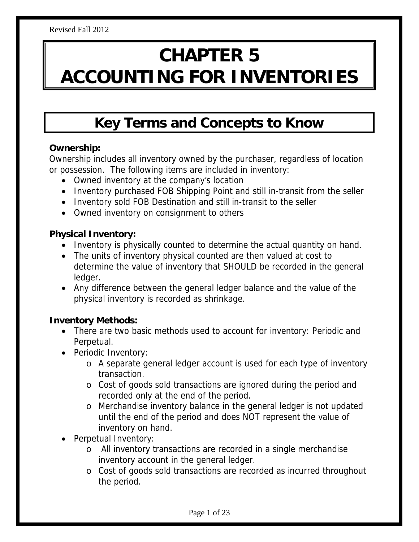# **CHAPTER 5 ACCOUNTING FOR INVENTORIES**

# **Key Terms and Concepts to Know**

#### **Ownership:**

Ownership includes all inventory owned by the purchaser, regardless of location or possession. The following items are included in inventory:

- Owned inventory at the company's location
- Inventory purchased FOB Shipping Point and still in-transit from the seller
- Inventory sold FOB Destination and still in-transit to the seller
- Owned inventory on consignment to others

#### **Physical Inventory:**

- Inventory is physically counted to determine the actual quantity on hand.
- The units of inventory physical counted are then valued at cost to determine the value of inventory that SHOULD be recorded in the general ledger.
- Any difference between the general ledger balance and the value of the physical inventory is recorded as shrinkage.

#### **Inventory Methods:**

- There are two basic methods used to account for inventory: Periodic and Perpetual.
- Periodic Inventory:
	- o A separate general ledger account is used for each type of inventory transaction.
	- o Cost of goods sold transactions are ignored during the period and recorded only at the end of the period.
	- o Merchandise inventory balance in the general ledger is not updated until the end of the period and does NOT represent the value of inventory on hand.
- Perpetual Inventory:
	- o All inventory transactions are recorded in a single merchandise inventory account in the general ledger.
	- o Cost of goods sold transactions are recorded as incurred throughout the period.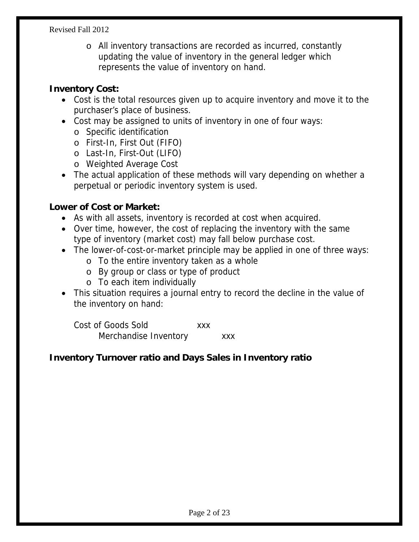o All inventory transactions are recorded as incurred, constantly updating the value of inventory in the general ledger which represents the value of inventory on hand.

#### **Inventory Cost:**

- Cost is the total resources given up to acquire inventory and move it to the purchaser's place of business.
- Cost may be assigned to units of inventory in one of four ways:
	- o Specific identification
	- o First-In, First Out (FIFO)
	- o Last-In, First-Out (LIFO)
	- o Weighted Average Cost
- The actual application of these methods will vary depending on whether a perpetual or periodic inventory system is used.

#### **Lower of Cost or Market:**

- As with all assets, inventory is recorded at cost when acquired.
- Over time, however, the cost of replacing the inventory with the same type of inventory (market cost) may fall below purchase cost.
- The lower-of-cost-or-market principle may be applied in one of three ways:
	- o To the entire inventory taken as a whole
	- o By group or class or type of product
	- o To each item individually
- This situation requires a journal entry to record the decline in the value of the inventory on hand:

 Cost of Goods Sold xxx Merchandise Inventory **xxx** 

#### **Inventory Turnover ratio and Days Sales in Inventory ratio**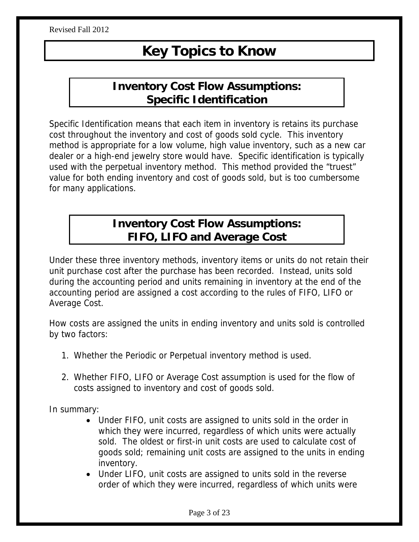# **Key Topics to Know**

## **Inventory Cost Flow Assumptions: Specific Identification**

Specific Identification means that each item in inventory is retains its purchase cost throughout the inventory and cost of goods sold cycle. This inventory method is appropriate for a low volume, high value inventory, such as a new car dealer or a high-end jewelry store would have. Specific identification is typically used with the perpetual inventory method. This method provided the "truest" value for both ending inventory and cost of goods sold, but is too cumbersome for many applications.

## **Inventory Cost Flow Assumptions: FIFO, LIFO and Average Cost**

Under these three inventory methods, inventory items or units do not retain their unit purchase cost after the purchase has been recorded. Instead, units sold during the accounting period and units remaining in inventory at the end of the accounting period are assigned a cost according to the rules of FIFO, LIFO or Average Cost.

How costs are assigned the units in ending inventory and units sold is controlled by two factors:

- 1. Whether the Periodic or Perpetual inventory method is used.
- 2. Whether FIFO, LIFO or Average Cost assumption is used for the flow of costs assigned to inventory and cost of goods sold.

In summary:

- Under FIFO, unit costs are assigned to units sold in the order in which they were incurred, regardless of which units were actually sold. The oldest or first-in unit costs are used to calculate cost of goods sold; remaining unit costs are assigned to the units in ending inventory.
- Under LIFO, unit costs are assigned to units sold in the reverse order of which they were incurred, regardless of which units were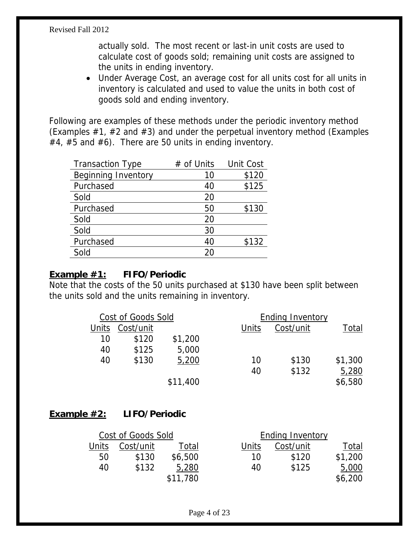actually sold. The most recent or last-in unit costs are used to calculate cost of goods sold; remaining unit costs are assigned to the units in ending inventory.

 Under Average Cost, an average cost for all units cost for all units in inventory is calculated and used to value the units in both cost of goods sold and ending inventory.

Following are examples of these methods under the periodic inventory method (Examples  $#1, #2$  and  $#3$ ) and under the perpetual inventory method (Examples  $#4, #5$  and  $#6$ ). There are 50 units in ending inventory.

| <b>Transaction Type</b>    | # of Units | <b>Unit Cost</b> |
|----------------------------|------------|------------------|
| <b>Beginning Inventory</b> | 10         | \$120            |
| Purchased                  | 40         | \$125            |
| Sold                       | 20         |                  |
| Purchased                  | 50         | \$130            |
| Sold                       | 20         |                  |
| Sold                       | 30         |                  |
| Purchased                  | 40         | \$132            |
| Sold                       | 20         |                  |

#### **Example #1: FIFO/Periodic**

Note that the costs of the 50 units purchased at \$130 have been split between the units sold and the units remaining in inventory.

| Cost/unit |          | Units                     | Cost/unit | Total                   |
|-----------|----------|---------------------------|-----------|-------------------------|
| \$120     | \$1,200  |                           |           |                         |
| \$125     | 5,000    |                           |           |                         |
| \$130     | 5,200    | 10                        | \$130     | \$1,300                 |
|           |          | 40                        | \$132     | 5,280                   |
|           | \$11,400 |                           |           | \$6,580                 |
|           |          | <b>Cost of Goods Sold</b> |           | <b>Ending Inventory</b> |

#### **Example #2: LIFO/Periodic**

|       | Cost of Goods Sold |          |       | <b>Ending Inventory</b> |         |
|-------|--------------------|----------|-------|-------------------------|---------|
| Units | Cost/unit          | Total    | Units | Cost/unit               | Total   |
| 50    | \$130              | \$6,500  | 10    | \$120                   | \$1,200 |
| 40    | \$132              | 5,280    | 40    | \$125                   | 5,000   |
|       |                    | \$11,780 |       |                         | \$6,200 |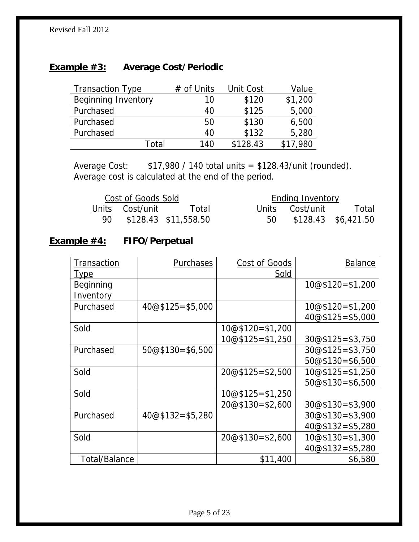#### **Example #3: Average Cost/Periodic**

| <b>Transaction Type</b>    | $#$ of Units | Unit Cost | Value    |
|----------------------------|--------------|-----------|----------|
| <b>Beginning Inventory</b> | 10           | \$120     | \$1,200  |
| Purchased                  | 40           | \$125     | 5,000    |
| Purchased                  | 50           | \$130     | 6,500    |
| Purchased                  | 40           | \$132     | 5,280    |
| Total                      | 140          | \$128.43  | \$17,980 |

Average Cost: \$17,980 / 140 total units = \$128.43/unit (rounded). Average cost is calculated at the end of the period.

| Cost of Goods Sold |                         |    | <b>Ending Inventory</b> |                     |
|--------------------|-------------------------|----|-------------------------|---------------------|
|                    | Units Cost/unit Total   |    | Units Cost/unit         | <u>Total</u>        |
|                    | 90 \$128.43 \$11,558.50 | 50 |                         | \$128.43 \$6,421.50 |

#### **Example #4: FIFO/Perpetual**

| <b>Transaction</b>   | <b>Purchases</b>   | Cost of Goods      | <b>Balance</b>     |
|----------------------|--------------------|--------------------|--------------------|
| <u>Type</u>          |                    | <u>Sold</u>        |                    |
| Beginning            |                    |                    | $10@$120=$1,200$   |
| Inventory            |                    |                    |                    |
| Purchased            | $40@$125 = $5,000$ |                    | 10@\$120=\$1,200   |
|                      |                    |                    | $40@$125 = $5,000$ |
| Sold                 |                    | $10@$120=$1,200$   |                    |
|                      |                    | $10@$125 = $1,250$ | $30@$125 = $3,750$ |
| Purchased            | $50@$130= $6,500$  |                    | $30@$125 = $3,750$ |
|                      |                    |                    | $50@$130= $6,500$  |
| Sold                 |                    | $20@$125 = $2,500$ | $10@$125 = $1,250$ |
|                      |                    |                    | $50@$130= $6,500$  |
| Sold                 |                    | 10@\$125=\$1,250   |                    |
|                      |                    | $20@$130=$2,600$   | $30@$130= $3,900$  |
| Purchased            | $40@$132= $5,280$  |                    | $30@$130= $3,900$  |
|                      |                    |                    | $40@$132= $5,280$  |
| Sold                 |                    | $20@$130=$2,600$   | 10@\$130=\$1,300   |
|                      |                    |                    | $40@$132= $5,280$  |
| <b>Total/Balance</b> |                    | \$11,400           | \$6,580            |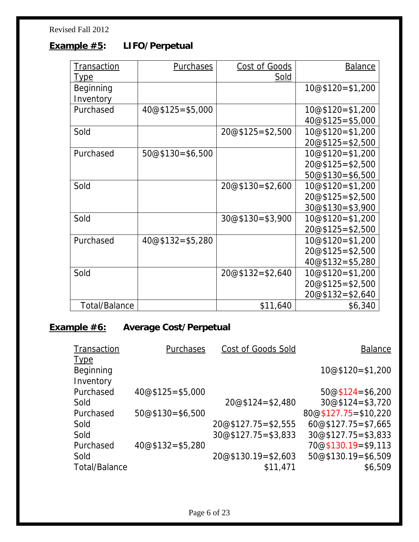## **Example #5: LIFO/Perpetual**

| <b>Transaction</b>   | <b>Purchases</b>   | <b>Cost of Goods</b> | <b>Balance</b>     |
|----------------------|--------------------|----------------------|--------------------|
| <u>Type</u>          |                    | <b>Sold</b>          |                    |
| Beginning            |                    |                      | $10@$120=$1,200$   |
| Inventory            |                    |                      |                    |
| Purchased            | $40@$125 = $5,000$ |                      | $10@$120=$1,200$   |
|                      |                    |                      | $40@$125 = $5,000$ |
| Sold                 |                    | $20@$125 = $2,500$   | $10@$120=$1,200$   |
|                      |                    |                      | $20@$125 = $2,500$ |
| Purchased            | $50@$130= $6,500$  |                      | $10@$120=$1,200$   |
|                      |                    |                      | $20@$125 = $2,500$ |
|                      |                    |                      | $50@$130= $6,500$  |
| Sold                 |                    | $20@$130=$2,600$     | $10@$120=$1,200$   |
|                      |                    |                      | $20@$125 = $2,500$ |
|                      |                    |                      | $30@$130= $3,900$  |
| Sold                 |                    | $30@$130=\$3,900$    | $10@$120=$1,200$   |
|                      |                    |                      | $20@$125 = $2,500$ |
| Purchased            | $40@$132= $5,280$  |                      | $10@$120=$1,200$   |
|                      |                    |                      | $20@$125 = $2,500$ |
|                      |                    |                      | $40@$132= $5,280$  |
| Sold                 |                    | $20@$132=$2,640$     | $10@$120=$1,200$   |
|                      |                    |                      | $20@$125 = $2,500$ |
|                      |                    |                      | $20@$132=$2,640$   |
| <b>Total/Balance</b> |                    | \$11,640             | \$6,340            |

## **Example #6: Average Cost/Perpetual**

| Transaction          | <b>Purchases</b>   | Cost of Goods Sold    | <b>Balance</b>         |
|----------------------|--------------------|-----------------------|------------------------|
| <u>Type</u>          |                    |                       |                        |
| Beginning            |                    |                       | $10@$120=$1,200$       |
| Inventory            |                    |                       |                        |
| Purchased            | $40@$125 = $5,000$ |                       | $50@$124=$6,200$       |
| Sold                 |                    | $20@$124 = $2,480$    | $30@$124 = $3,720$     |
| Purchased            | $50@$130= $6,500$  |                       | $80@$127.75 = $10,220$ |
| Sold                 |                    | $20@$127.75 = $2,555$ | $60@$127.75 = $7,665$  |
| Sold                 |                    | $30@$127.75 = $3,833$ | $30@$127.75 = $3,833$  |
| Purchased            | $40@$132= $5,280$  |                       | 70@\$130.19=\$9,113    |
| Sold                 |                    | 20@\$130.19=\$2,603   | $50@$130.19=$6,509$    |
| <b>Total/Balance</b> |                    | \$11,471              | \$6,509                |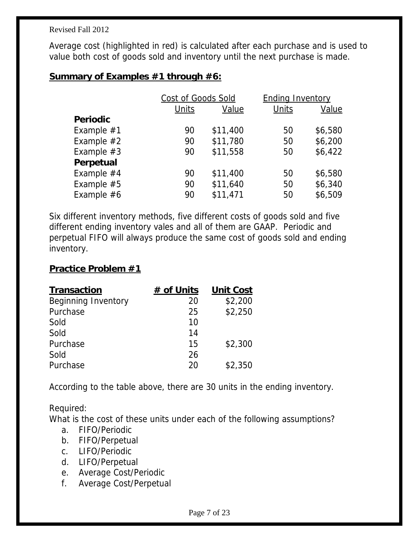Average cost (highlighted in red) is calculated after each purchase and is used to value both cost of goods sold and inventory until the next purchase is made.

#### **Summary of Examples #1 through #6:**

|                 | Cost of Goods Sold |          | <b>Ending Inventory</b> |         |
|-----------------|--------------------|----------|-------------------------|---------|
|                 | Units              | Value    | <b>Units</b>            | Value   |
| <b>Periodic</b> |                    |          |                         |         |
| Example $#1$    | 90                 | \$11,400 | 50                      | \$6,580 |
| Example $#2$    | 90                 | \$11,780 | 50                      | \$6,200 |
| Example $#3$    | 90                 | \$11,558 | 50                      | \$6,422 |
| Perpetual       |                    |          |                         |         |
| Example $#4$    | 90                 | \$11,400 | 50                      | \$6,580 |
| Example $#5$    | 90                 | \$11,640 | 50                      | \$6,340 |
| Example $#6$    | 90                 | \$11,471 | 50                      | \$6,509 |

Six different inventory methods, five different costs of goods sold and five different ending inventory vales and all of them are GAAP. Periodic and perpetual FIFO will always produce the same cost of goods sold and ending inventory.

#### **Practice Problem #1**

| <b>Transaction</b>         | # of Units | <b>Unit Cost</b> |
|----------------------------|------------|------------------|
| <b>Beginning Inventory</b> | 20         | \$2,200          |
| Purchase                   | 25         | \$2,250          |
| Sold                       | 10         |                  |
| Sold                       | 14         |                  |
| Purchase                   | 15         | \$2,300          |
| Sold                       | 26         |                  |
| Purchase                   | 20         | \$2,350          |

According to the table above, there are 30 units in the ending inventory.

Required:

What is the cost of these units under each of the following assumptions?

- a. FIFO/Periodic
- b. FIFO/Perpetual
- c. LIFO/Periodic
- d. LIFO/Perpetual
- e. Average Cost/Periodic
- f. Average Cost/Perpetual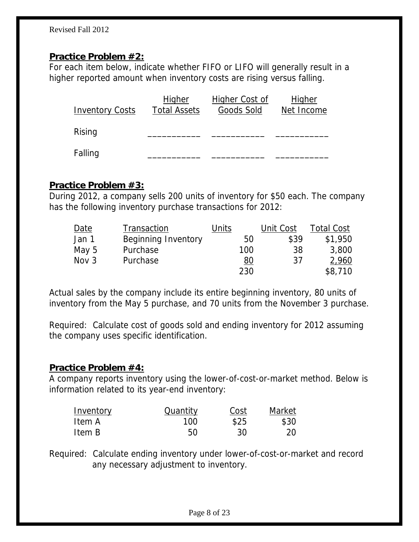#### **Practice Problem #2:**

For each item below, indicate whether FIFO or LIFO will generally result in a higher reported amount when inventory costs are rising versus falling.

| <b>Inventory Costs</b> | <u>Higher</u><br><b>Total Assets</b> | <b>Higher Cost of</b><br>Goods Sold | <b>Higher</b><br>Net Income |
|------------------------|--------------------------------------|-------------------------------------|-----------------------------|
| Rising                 |                                      |                                     |                             |
| Falling                |                                      |                                     |                             |

#### **Practice Problem #3:**

During 2012, a company sells 200 units of inventory for \$50 each. The company has the following inventory purchase transactions for 2012:

| Date             | Transaction                | Units | Unit Cost | <b>Total Cost</b> |
|------------------|----------------------------|-------|-----------|-------------------|
| Jan 1            | <b>Beginning Inventory</b> | 50    | \$39      | \$1,950           |
| May 5            | Purchase                   | 100   | 38        | 3,800             |
| Nov <sub>3</sub> | Purchase                   | 80    | 37        | 2,960             |
|                  |                            | 230   |           | \$8,710           |

Actual sales by the company include its entire beginning inventory, 80 units of inventory from the May 5 purchase, and 70 units from the November 3 purchase.

Required: Calculate cost of goods sold and ending inventory for 2012 assuming the company uses specific identification.

#### **Practice Problem #4:**

A company reports inventory using the lower-of-cost-or-market method. Below is information related to its year-end inventory:

| Inventory | Quantity | Cost | Market |
|-----------|----------|------|--------|
| Item A    | 100      | \$25 | \$30   |
| Item B    | 50       | 30   | 20     |

Required: Calculate ending inventory under lower-of-cost-or-market and record any necessary adjustment to inventory.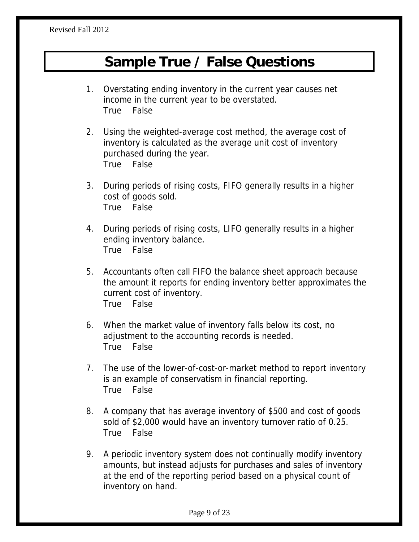## **Sample True / False Questions**

- 1. Overstating ending inventory in the current year causes net income in the current year to be overstated. True False
- 2. Using the weighted-average cost method, the average cost of inventory is calculated as the average unit cost of inventory purchased during the year. True False
- 3. During periods of rising costs, FIFO generally results in a higher cost of goods sold. True False
- 4. During periods of rising costs, LIFO generally results in a higher ending inventory balance. True False
- 5. Accountants often call FIFO the balance sheet approach because the amount it reports for ending inventory better approximates the current cost of inventory. True False
- 6. When the market value of inventory falls below its cost, no adjustment to the accounting records is needed. True False
- 7. The use of the lower-of-cost-or-market method to report inventory is an example of conservatism in financial reporting. True False
- 8. A company that has average inventory of \$500 and cost of goods sold of \$2,000 would have an inventory turnover ratio of 0.25. True False
- 9. A periodic inventory system does not continually modify inventory amounts, but instead adjusts for purchases and sales of inventory at the end of the reporting period based on a physical count of inventory on hand.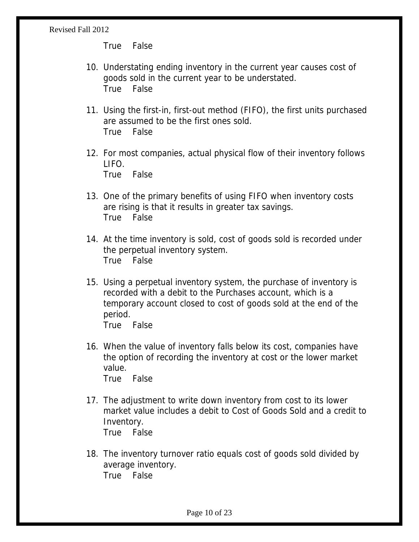True False

- 10. Understating ending inventory in the current year causes cost of goods sold in the current year to be understated. True False
- 11. Using the first-in, first-out method (FIFO), the first units purchased are assumed to be the first ones sold. True False
- 12. For most companies, actual physical flow of their inventory follows LIFO. True False
- 13. One of the primary benefits of using FIFO when inventory costs are rising is that it results in greater tax savings. True False
- 14. At the time inventory is sold, cost of goods sold is recorded under the perpetual inventory system. True False
- 15. Using a perpetual inventory system, the purchase of inventory is recorded with a debit to the Purchases account, which is a temporary account closed to cost of goods sold at the end of the period. True False
- 16. When the value of inventory falls below its cost, companies have the option of recording the inventory at cost or the lower market value. True False
- 17. The adjustment to write down inventory from cost to its lower market value includes a debit to Cost of Goods Sold and a credit to Inventory. True False
- 18. The inventory turnover ratio equals cost of goods sold divided by average inventory. True False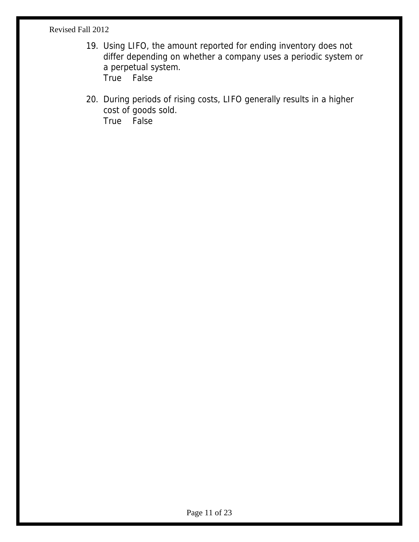- 19. Using LIFO, the amount reported for ending inventory does not differ depending on whether a company uses a periodic system or a perpetual system. True False
- 20. During periods of rising costs, LIFO generally results in a higher cost of goods sold. True False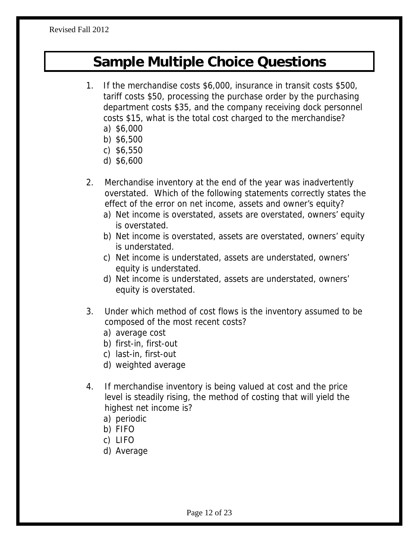## **Sample Multiple Choice Questions**

- 1. If the merchandise costs \$6,000, insurance in transit costs \$500, tariff costs \$50, processing the purchase order by the purchasing department costs \$35, and the company receiving dock personnel costs \$15, what is the total cost charged to the merchandise?
	- a) \$6,000
	- b) \$6,500
	- c) \$6,550
	- d) \$6,600
- 2. Merchandise inventory at the end of the year was inadvertently overstated. Which of the following statements correctly states the effect of the error on net income, assets and owner's equity?
	- a) Net income is overstated, assets are overstated, owners' equity is overstated.
	- b) Net income is overstated, assets are overstated, owners' equity is understated.
	- c) Net income is understated, assets are understated, owners' equity is understated.
	- d) Net income is understated, assets are understated, owners' equity is overstated.
- 3. Under which method of cost flows is the inventory assumed to be composed of the most recent costs?
	- a) average cost
	- b) first-in, first-out
	- c) last-in, first-out
	- d) weighted average
- 4. If merchandise inventory is being valued at cost and the price level is steadily rising, the method of costing that will yield the highest net income is?
	- a) periodic
	- b) FIFO
	- c) LIFO
	- d) Average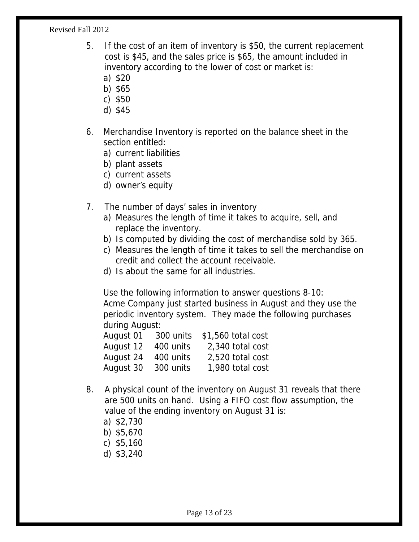- 5. If the cost of an item of inventory is \$50, the current replacement cost is \$45, and the sales price is \$65, the amount included in inventory according to the lower of cost or market is:
	- a) \$20
	- b) \$65
	- c) \$50
	- d) \$45
- 6. Merchandise Inventory is reported on the balance sheet in the section entitled:
	- a) current liabilities
	- b) plant assets
	- c) current assets
	- d) owner's equity
- 7. The number of days' sales in inventory
	- a) Measures the length of time it takes to acquire, sell, and replace the inventory.
	- b) Is computed by dividing the cost of merchandise sold by 365.
	- c) Measures the length of time it takes to sell the merchandise on credit and collect the account receivable.
	- d) Is about the same for all industries.

 Use the following information to answer questions 8-10: Acme Company just started business in August and they use the periodic inventory system. They made the following purchases during August:

| August 01 | 300 units | \$1,560 total cost |
|-----------|-----------|--------------------|
| August 12 | 400 units | 2,340 total cost   |
| August 24 | 400 units | 2,520 total cost   |
| August 30 | 300 units | 1,980 total cost   |

- 8. A physical count of the inventory on August 31 reveals that there are 500 units on hand. Using a FIFO cost flow assumption, the value of the ending inventory on August 31 is:
	- a) \$2,730
	- b) \$5,670
	- c) \$5,160
	- d) \$3,240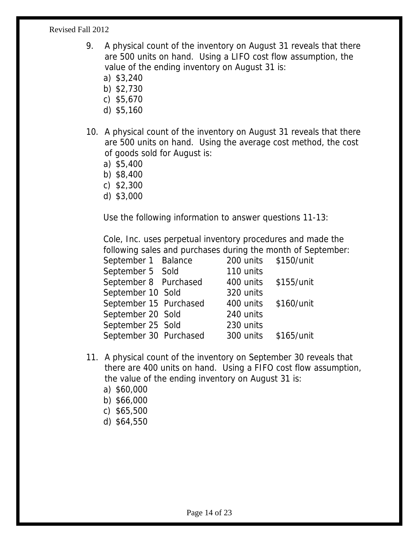- 9. A physical count of the inventory on August 31 reveals that there are 500 units on hand. Using a LIFO cost flow assumption, the value of the ending inventory on August 31 is:
	- a) \$3,240
	- b) \$2,730
	- c) \$5,670
	- d) \$5,160
- 10. A physical count of the inventory on August 31 reveals that there are 500 units on hand. Using the average cost method, the cost of goods sold for August is:
	- a) \$5,400
	- b) \$8,400
	- c) \$2,300
	- d) \$3,000

Use the following information to answer questions 11-13:

 Cole, Inc. uses perpetual inventory procedures and made the following sales and purchases during the month of September:

| September 1 Balance    | 200 units \$150/unit |            |
|------------------------|----------------------|------------|
| September 5 Sold       | 110 units            |            |
| September 8 Purchased  | 400 units            | \$155/unit |
| September 10 Sold      | 320 units            |            |
| September 15 Purchased | 400 units \$160/unit |            |
| September 20 Sold      | 240 units            |            |
| September 25 Sold      | 230 units            |            |
| September 30 Purchased | 300 units \$165/unit |            |
|                        |                      |            |

- 11. A physical count of the inventory on September 30 reveals that there are 400 units on hand. Using a FIFO cost flow assumption, the value of the ending inventory on August 31 is:
	- a) \$60,000
	- b) \$66,000
	- c) \$65,500
	- d) \$64,550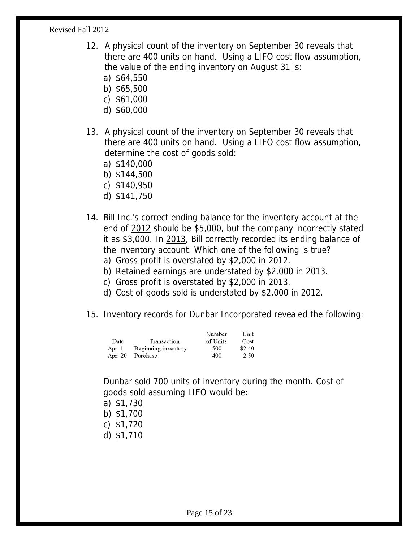- 12. A physical count of the inventory on September 30 reveals that there are 400 units on hand. Using a LIFO cost flow assumption, the value of the ending inventory on August 31 is:
	- a) \$64,550
	- b) \$65,500
	- c) \$61,000
	- d) \$60,000
- 13. A physical count of the inventory on September 30 reveals that there are 400 units on hand. Using a LIFO cost flow assumption, determine the cost of goods sold:
	- a) \$140,000
	- b) \$144,500
	- c) \$140,950
	- d) \$141,750
- 14. Bill Inc.'s correct ending balance for the inventory account at the end of 2012 should be \$5,000, but the company incorrectly stated it as \$3,000. In 2013, Bill correctly recorded its ending balance of the inventory account. Which one of the following is true?
	- a) Gross profit is overstated by \$2,000 in 2012.
	- b) Retained earnings are understated by \$2,000 in 2013.
	- c) Gross profit is overstated by \$2,000 in 2013.
	- d) Cost of goods sold is understated by \$2,000 in 2012.
- 15. Inventory records for Dunbar Incorporated revealed the following:

|         |                     | Number   | Unit   |
|---------|---------------------|----------|--------|
| Date    | Transaction         | of Units | Cost   |
| Apr. 1  | Beginning inventory | 500      | \$2.40 |
| Apr. 20 | Purchase            | 400      | 2.50   |

Dunbar sold 700 units of inventory during the month. Cost of goods sold assuming LIFO would be:

- a) \$1,730
- b) \$1,700
- c) \$1,720
- d) \$1,710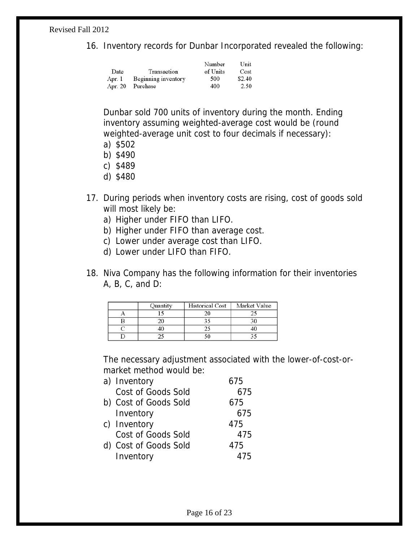16. Inventory records for Dunbar Incorporated revealed the following:

|         |                     | Number   | Unit   |
|---------|---------------------|----------|--------|
| Date    | Transaction         | of Units | Cost   |
| Apr. 1  | Beginning inventory | 500      | \$2.40 |
| Apr. 20 | Purchase            | 400      | 2.50   |

Dunbar sold 700 units of inventory during the month. Ending inventory assuming weighted-average cost would be (round weighted-average unit cost to four decimals if necessary):

- a) \$502
- b) \$490
- c) \$489
- d) \$480
- 17. During periods when inventory costs are rising, cost of goods sold will most likely be:
	- a) Higher under FIFO than LIFO.
	- b) Higher under FIFO than average cost.
	- c) Lower under average cost than LIFO.
	- d) Lower under LIFO than FIFO.
- 18. Niva Company has the following information for their inventories A, B, C, and D:

| Ouantity | Historical Cost | Market Value |
|----------|-----------------|--------------|
|          | 20              |              |
|          |                 |              |
| 40       |                 |              |
|          |                 |              |

The necessary adjustment associated with the lower-of-cost-ormarket method would be:

| a) Inventory          | 675 |
|-----------------------|-----|
| Cost of Goods Sold    | 675 |
| b) Cost of Goods Sold | 675 |
| Inventory             | 675 |
| c) Inventory          | 475 |
| Cost of Goods Sold    | 475 |
| d) Cost of Goods Sold | 475 |
| Inventory             | 475 |
|                       |     |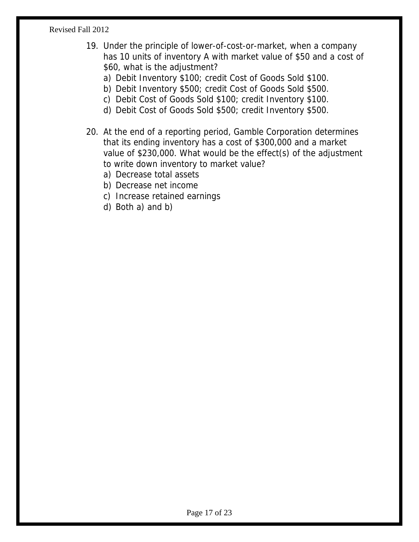- 19. Under the principle of lower-of-cost-or-market, when a company has 10 units of inventory A with market value of \$50 and a cost of \$60, what is the adjustment?
	- a) Debit Inventory \$100; credit Cost of Goods Sold \$100.
	- b) Debit Inventory \$500; credit Cost of Goods Sold \$500.
	- c) Debit Cost of Goods Sold \$100; credit Inventory \$100.
	- d) Debit Cost of Goods Sold \$500; credit Inventory \$500.
- 20. At the end of a reporting period, Gamble Corporation determines that its ending inventory has a cost of \$300,000 and a market value of \$230,000. What would be the effect(s) of the adjustment to write down inventory to market value?
	- a) Decrease total assets
	- b) Decrease net income
	- c) Increase retained earnings
	- d) Both a) and b)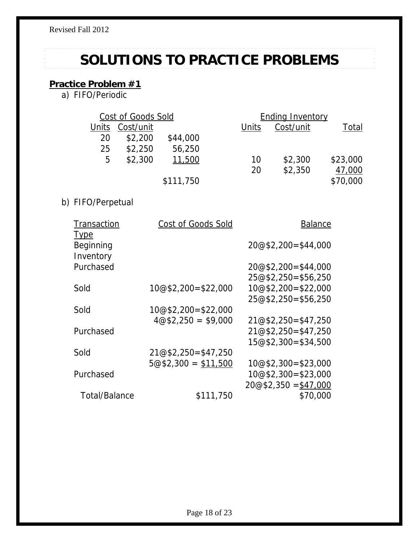# **SOLUTIONS TO PRACTICE PROBLEMS**

## **Practice Problem #1**

|       | Cost of Goods Sold |           |       | <b>Ending Inventory</b> |          |
|-------|--------------------|-----------|-------|-------------------------|----------|
| Units | Cost/unit          |           | Units | Cost/unit               | Total    |
| 20    | \$2,200            | \$44,000  |       |                         |          |
| 25    | \$2,250            | 56,250    |       |                         |          |
| 5     | \$2,300            | 11,500    | 10    | \$2,300                 | \$23,000 |
|       |                    |           | 20    | \$2,350                 | 47,000   |
|       |                    | \$111,750 |       |                         | \$70,000 |
|       |                    |           |       |                         |          |

## b) FIFO/Perpetual

| Transaction                           | Cost of Goods Sold   | <b>Balance</b>        |
|---------------------------------------|----------------------|-----------------------|
| <u>Type</u><br>Beginning<br>Inventory |                      | $20@$2,200=$44,000$   |
| Purchased                             |                      | $20@$2,200=$44,000$   |
|                                       |                      | $25@$2,250=$56,250$   |
| Sold                                  | 10@\$2,200=\$22,000  | $10@$2,200=$22,000$   |
|                                       |                      | $25@$2,250=$56,250$   |
| Sold                                  | $10@$2,200=$22,000$  |                       |
|                                       | $4@$2,250 = $9,000$  | $21@$2,250=$47,250$   |
| Purchased                             |                      | $21@$2,250=$47,250$   |
|                                       |                      | $15@2.300 = $34.500$  |
| Sold                                  | $21@$2,250=$47,250$  |                       |
|                                       | $5@$2,300 = $11,500$ | $10@2,300=23,000$     |
| Purchased                             |                      | $10@2,300=23,000$     |
|                                       |                      | $20@$2,350 = $47,000$ |
| Total/Balance                         | \$111,750            | \$70,000              |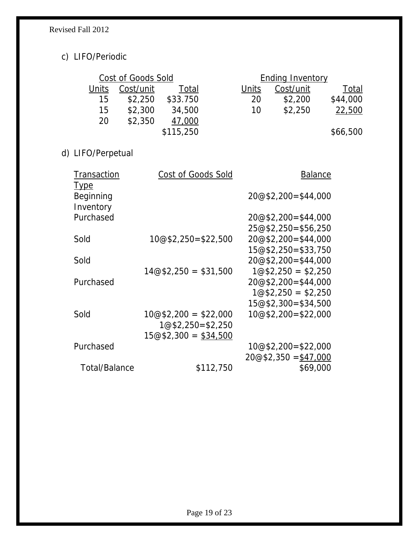## c) LIFO/Periodic

|       | Cost of Goods Sold |           |       | <b>Ending Inventory</b> |              |
|-------|--------------------|-----------|-------|-------------------------|--------------|
| Units | Cost/unit          | Total     | Units | Cost/unit               | <u>Total</u> |
| 15    | \$2.250            | \$33.750  | 20    | \$2,200                 | \$44,000     |
| 15    | \$2,300            | 34,500    | 10    | \$2,250                 | 22,500       |
| 20    | \$2,350            | 47,000    |       |                         |              |
|       |                    | \$115,250 |       |                         | \$66,500     |

d) LIFO/Perpetual

| Transaction                           | Cost of Goods Sold    | <b>Balance</b>        |
|---------------------------------------|-----------------------|-----------------------|
| <b>Type</b><br>Beginning<br>Inventory |                       | $20@$2,200=$44,000$   |
| Purchased                             |                       | $20@$2,200=$44,000$   |
|                                       |                       | $25@$2,250=$56,250$   |
| Sold                                  | 10@\$2,250=\$22,500   | $20@$2,200=$44,000$   |
|                                       |                       | $15@2.250 = $33.750$  |
| Sold                                  |                       | $20@$2,200=$44,000$   |
|                                       | $14@$2,250 = $31,500$ | $1@$2,250 = $2,250$   |
| Purchased                             |                       | $20@$2,200=$44,000$   |
|                                       |                       | $1@$2,250 = $2,250$   |
|                                       |                       | $15@2,300=$ \$34,500  |
| Sold                                  | $10@$2,200 = $22,000$ | 10@\$2,200=\$22,000   |
|                                       | $1@32,250=2,250$      |                       |
|                                       | $15@2,300 = $34,500$  |                       |
| Purchased                             |                       | 10@\$2,200=\$22,000   |
|                                       |                       | $20@$2,350 = $47,000$ |
| Total/Balance                         | \$112,750             | \$69,000              |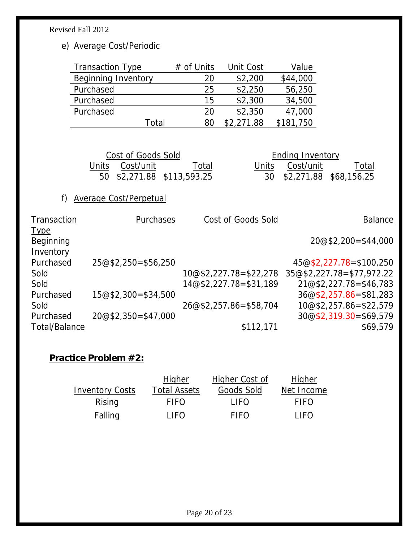e) Average Cost/Periodic

| <b>Transaction Type</b>    | $#$ of Units | Unit Cost  | Value     |
|----------------------------|--------------|------------|-----------|
| <b>Beginning Inventory</b> | 20           | \$2,200    | \$44,000  |
| Purchased                  | 25           | \$2,250    | 56,250    |
| Purchased                  | 15           | \$2,300    | 34,500    |
| Purchased                  | 20           | \$2,350    | 47,000    |
| Total                      | 80           | \$2,271.88 | \$181,750 |

| Cost of Goods Sold |                 |                            |  |
|--------------------|-----------------|----------------------------|--|
|                    | Units Cost/unit | Total                      |  |
|                    |                 | 50 \$2,271.88 \$113,593.25 |  |

**Ending Inventory** Units Cost/unit Total 50 \$2,271.88 \$113,593.25 30 \$2,271.88 \$68,156.25

## f) Average Cost/Perpetual

| Transaction   | Purchases            | Cost of Goods Sold       | <b>Balance</b>            |
|---------------|----------------------|--------------------------|---------------------------|
| <b>Type</b>   |                      |                          |                           |
| Beginning     |                      |                          | $20@$2,200=$44,000$       |
| Inventory     |                      |                          |                           |
| Purchased     | $25@$2,250=$56,250$  |                          | 45@\$2,227.78=\$100,250   |
| Sold          |                      | $10@$2,227.78=$22,278$   | 35@\$2,227.78=\$77,972.22 |
| Sold          |                      | $14@$2,227.78=$31,189$   | $21@$2,227.78=$46,783$    |
| Purchased     | $15@2,300=$ \$34,500 |                          | $36@$2,257.86 = $81,283$  |
| Sold          |                      | $26@$2,257.86 = $58,704$ | $10@$2,257.86 = $22,579$  |
| Purchased     | $20@$2,350=$47,000$  |                          | $30@$2,319.30=$69,579$    |
| Total/Balance |                      | \$112,171                | \$69,579                  |

#### **Practice Problem #2:**

|                        | <u>Higher</u>       | <b>Higher Cost of</b> | <b>Higher</b> |
|------------------------|---------------------|-----------------------|---------------|
| <b>Inventory Costs</b> | <b>Total Assets</b> | Goods Sold            | Net Income    |
| Rising                 | <b>FIFO</b>         | LIFO.                 | <b>FIFO</b>   |
| Falling                | LIFO.               | <b>FIFO</b>           | LIFO.         |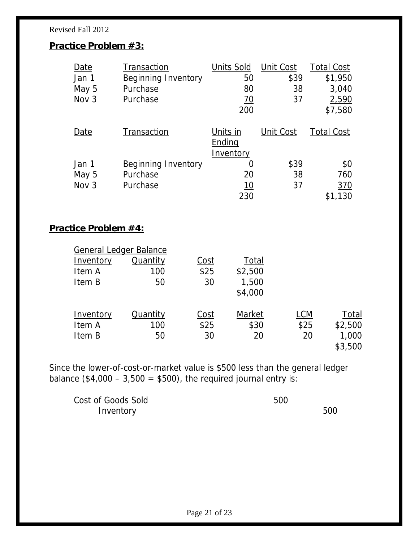#### **Practice Problem #3:**

| Date             | Transaction                | <b>Units Sold</b>               | Unit Cost | <b>Total Cost</b> |
|------------------|----------------------------|---------------------------------|-----------|-------------------|
| Jan 1            | <b>Beginning Inventory</b> | 50                              | \$39      | \$1,950           |
| May 5            | Purchase                   | 80                              | 38        | 3,040             |
| Nov <sub>3</sub> | Purchase                   | <u>70</u>                       | 37        | 2,590             |
|                  |                            | 200                             |           | \$7,580           |
| Date             | Transaction                | Units in<br>Ending<br>Inventory | Unit Cost | <b>Total Cost</b> |
| Jan 1            | <b>Beginning Inventory</b> | $\mathcal{L}$                   | \$39      | \$0               |
| May 5            | Purchase                   | 20                              | 38        | 760               |
| Nov <sub>3</sub> | Purchase                   | <u> 10</u>                      | 37        | <u>370</u>        |
|                  |                            | 230                             |           | \$1,130           |

#### **Practice Problem #4:**

| <b>General Ledger Balance</b> |                 |             |         |            |         |
|-------------------------------|-----------------|-------------|---------|------------|---------|
| Inventory                     | Quantity        | <u>Cost</u> | Total   |            |         |
| Item A                        | 100             | \$25        | \$2,500 |            |         |
| Item B                        | 50              | 30          | 1,500   |            |         |
|                               |                 |             | \$4,000 |            |         |
| Inventory                     | <b>Quantity</b> | <u>Cost</u> | Market  | <u>LCM</u> | Total   |
| Item A                        | 100             | \$25        | \$30    | \$25       | \$2,500 |
| Item B                        | 50              | 30          | 20      | 20         | 1,000   |
|                               |                 |             |         |            | \$3,500 |

Since the lower-of-cost-or-market value is \$500 less than the general ledger balance  $(\$4,000 - 3,500 = $500)$ , the required journal entry is:

Cost of Goods Sold 500 Inventory 500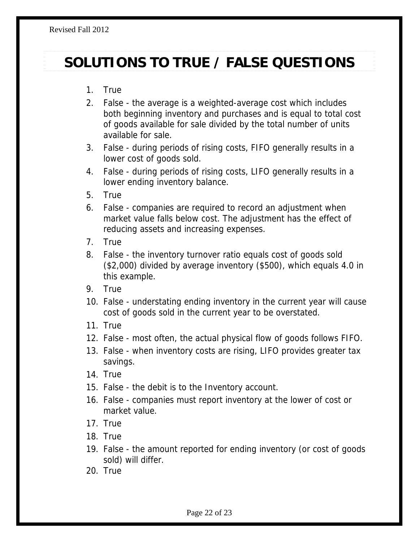# **SOLUTIONS TO TRUE / FALSE QUESTIONS**

- 1. True
- 2. False the average is a weighted-average cost which includes both beginning inventory and purchases and is equal to total cost of goods available for sale divided by the total number of units available for sale.
- 3. False during periods of rising costs, FIFO generally results in a lower cost of goods sold.
- 4. False during periods of rising costs, LIFO generally results in a lower ending inventory balance.
- 5. True
- 6. False companies are required to record an adjustment when market value falls below cost. The adjustment has the effect of reducing assets and increasing expenses.
- 7. True
- 8. False the inventory turnover ratio equals cost of goods sold (\$2,000) divided by average inventory (\$500), which equals 4.0 in this example.
- 9. True
- 10. False understating ending inventory in the current year will cause cost of goods sold in the current year to be overstated.
- 11. True
- 12. False most often, the actual physical flow of goods follows FIFO.
- 13. False when inventory costs are rising, LIFO provides greater tax savings.
- 14. True
- 15. False the debit is to the Inventory account.
- 16. False companies must report inventory at the lower of cost or market value.
- 17. True
- 18. True
- 19. False the amount reported for ending inventory (or cost of goods sold) will differ.
- 20. True